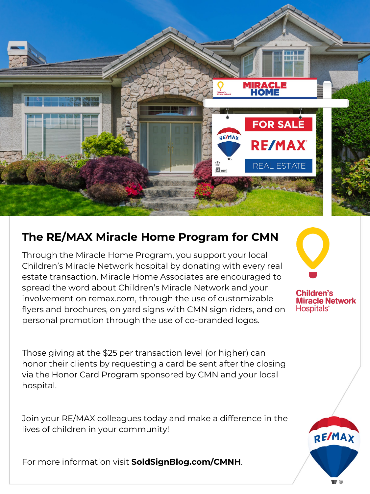

## **The RE/MAX Miracle Home Program for CMN**

Through the Miracle Home Program, you support your local Children's Miracle Network hospital by donating with every real estate transaction. Miracle Home Associates are encouraged to spread the word about Children's Miracle Network and your involvement on remax.com, through the use of customizable flyers and brochures, on yard signs with CMN sign riders, and on personal promotion through the use of co-branded logos.

Those giving at the \$25 per transaction level (or higher) can honor their clients by requesting a card be sent after the closing via the Honor Card Program sponsored by CMN and your local hospital.

Join your RE/MAX colleagues today and make a difference in the lives of children in your community!

For more information visit **SoldSignBlog.com/CMNH**.



**Children's Miracle Network** Hospitals<sup>®</sup>